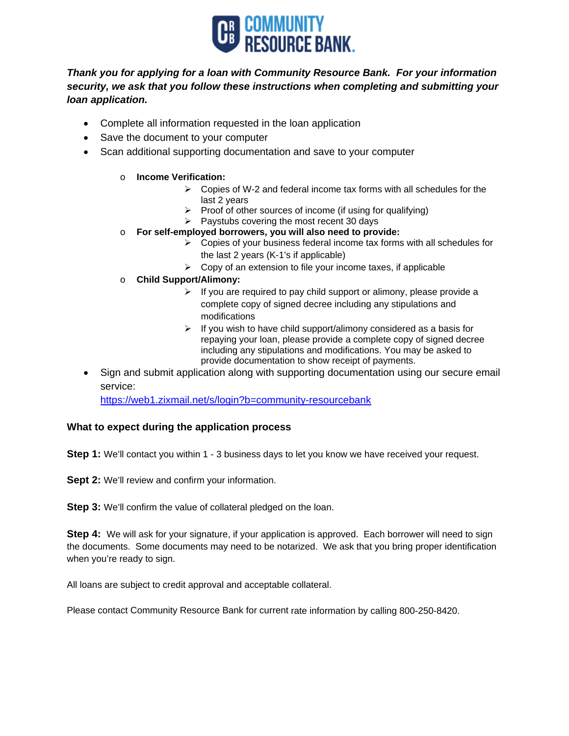

## *Thank you for applying for a loan with Community Resource Bank. For your information security, we ask that you follow these instructions when completing and submitting your loan application.*

- Complete all information requested in the loan application
- Save the document to your computer
- Scan additional supporting documentation and save to your computer

## o **Income Verification:**

- $\triangleright$  Copies of W-2 and federal income tax forms with all schedules for the last 2 years
- $\triangleright$  Proof of other sources of income (if using for qualifying)
- $\triangleright$  Paystubs covering the most recent 30 days
- o **For self-employed borrowers, you will also need to provide:**
	- $\triangleright$  Copies of your business federal income tax forms with all schedules for the last 2 years (K-1's if applicable)
	- $\triangleright$  Copy of an extension to file your income taxes, if applicable
- o **Child Support/Alimony:**
	- $\triangleright$  If you are required to pay child support or alimony, please provide a complete copy of signed decree including any stipulations and modifications
	- $\triangleright$  If you wish to have child support/alimony considered as a basis for repaying your loan, please provide a complete copy of signed decree including any stipulations and modifications. You may be asked to provide documentation to show receipt of payments.
- Sign and submit application along with supporting documentation using our secure email service:

https://web1.zixmail.net/s/login?b=community-resourcebank

## **What to expect during the application process**

**Step 1:** We'll contact you within 1 - 3 business days to let you know we have received your request.

**Sept 2:** We'll review and confirm your information.

**Step 3:** We'll confirm the value of collateral pledged on the loan.

**Step 4:** We will ask for your signature, if your application is approved. Each borrower will need to sign the documents. Some documents may need to be notarized. We ask that you bring proper identification when you're ready to sign.

All loans are subject to credit approval and acceptable collateral.

Please contact Community Resource Bank for current rate information by calling 800-250-8420.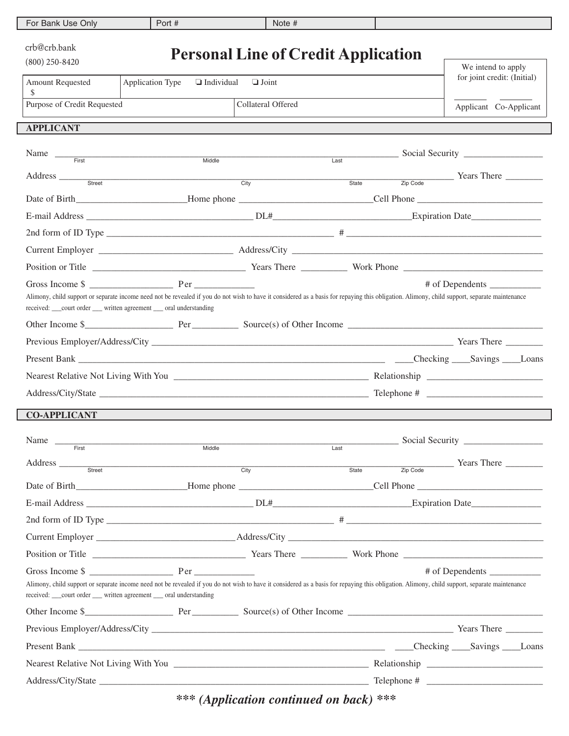| For Bank Use Only                                                                                                                                                                                                                                                      | Port #            | Note $#$                                   |       |                                                                                                                                                                                                                                                                                                                      |
|------------------------------------------------------------------------------------------------------------------------------------------------------------------------------------------------------------------------------------------------------------------------|-------------------|--------------------------------------------|-------|----------------------------------------------------------------------------------------------------------------------------------------------------------------------------------------------------------------------------------------------------------------------------------------------------------------------|
| crb@crb.bank<br>$(800)$ 250-8420                                                                                                                                                                                                                                       |                   | <b>Personal Line of Credit Application</b> |       | We intend to apply                                                                                                                                                                                                                                                                                                   |
| <b>Amount Requested</b><br>Application Type<br>\$                                                                                                                                                                                                                      | $\Box$ Individual | $\Box$ Joint                               |       | for joint credit: (Initial)                                                                                                                                                                                                                                                                                          |
| Purpose of Credit Requested                                                                                                                                                                                                                                            |                   | Collateral Offered                         |       | Applicant Co-Applicant                                                                                                                                                                                                                                                                                               |
| <b>APPLICANT</b>                                                                                                                                                                                                                                                       |                   |                                            |       |                                                                                                                                                                                                                                                                                                                      |
| Name $\frac{1}{\text{First}}$                                                                                                                                                                                                                                          | Middle            | Last                                       |       |                                                                                                                                                                                                                                                                                                                      |
| Address <u>such street</u>                                                                                                                                                                                                                                             | City              |                                            | State | $\frac{1}{10}$ $\frac{1}{2}$ $\frac{1}{2}$ $\frac{1}{2}$ $\frac{1}{2}$ $\frac{1}{2}$ $\frac{1}{2}$ $\frac{1}{2}$ $\frac{1}{2}$ $\frac{1}{2}$ $\frac{1}{2}$ $\frac{1}{2}$ $\frac{1}{2}$ $\frac{1}{2}$ $\frac{1}{2}$ $\frac{1}{2}$ $\frac{1}{2}$ $\frac{1}{2}$ $\frac{1}{2}$ $\frac{1}{2}$ $\frac{1}{2}$ $\frac{1}{2}$ |
|                                                                                                                                                                                                                                                                        |                   |                                            |       |                                                                                                                                                                                                                                                                                                                      |
|                                                                                                                                                                                                                                                                        |                   |                                            |       |                                                                                                                                                                                                                                                                                                                      |
|                                                                                                                                                                                                                                                                        |                   |                                            |       |                                                                                                                                                                                                                                                                                                                      |
| Current Employer Address/City Address/City                                                                                                                                                                                                                             |                   |                                            |       |                                                                                                                                                                                                                                                                                                                      |
|                                                                                                                                                                                                                                                                        |                   |                                            |       |                                                                                                                                                                                                                                                                                                                      |
| Alimony, child support or separate income need not be revealed if you do not wish to have it considered as a basis for repaying this obligation. Alimony, child support, separate maintenance<br>received: ___court order ___ written agreement ___ oral understanding |                   |                                            |       | # of Dependents                                                                                                                                                                                                                                                                                                      |
|                                                                                                                                                                                                                                                                        |                   |                                            |       |                                                                                                                                                                                                                                                                                                                      |
|                                                                                                                                                                                                                                                                        |                   |                                            |       |                                                                                                                                                                                                                                                                                                                      |
|                                                                                                                                                                                                                                                                        |                   |                                            |       |                                                                                                                                                                                                                                                                                                                      |
|                                                                                                                                                                                                                                                                        |                   |                                            |       |                                                                                                                                                                                                                                                                                                                      |
|                                                                                                                                                                                                                                                                        |                   |                                            |       |                                                                                                                                                                                                                                                                                                                      |
| <b>CO-APPLICANT</b>                                                                                                                                                                                                                                                    |                   |                                            |       |                                                                                                                                                                                                                                                                                                                      |
| Name __                                                                                                                                                                                                                                                                |                   |                                            |       |                                                                                                                                                                                                                                                                                                                      |
| First                                                                                                                                                                                                                                                                  | Middle            | Last                                       |       |                                                                                                                                                                                                                                                                                                                      |
|                                                                                                                                                                                                                                                                        |                   |                                            | State | $\frac{1}{\text{Zip Code}}$ Years There                                                                                                                                                                                                                                                                              |
|                                                                                                                                                                                                                                                                        |                   |                                            |       |                                                                                                                                                                                                                                                                                                                      |
| E-mail Address Expiration Date Expiration Date Expiration Date Expiration Date                                                                                                                                                                                         |                   |                                            |       |                                                                                                                                                                                                                                                                                                                      |
| 2nd form of ID Type $\frac{1}{2}$                                                                                                                                                                                                                                      |                   |                                            |       |                                                                                                                                                                                                                                                                                                                      |
|                                                                                                                                                                                                                                                                        |                   |                                            |       |                                                                                                                                                                                                                                                                                                                      |
|                                                                                                                                                                                                                                                                        |                   |                                            |       |                                                                                                                                                                                                                                                                                                                      |
| Alimony, child support or separate income need not be revealed if you do not wish to have it considered as a basis for repaying this obligation. Alimony, child support, separate maintenance<br>received: ___court order ___ written agreement ___ oral understanding |                   |                                            |       | # of Dependents                                                                                                                                                                                                                                                                                                      |
|                                                                                                                                                                                                                                                                        |                   |                                            |       |                                                                                                                                                                                                                                                                                                                      |
|                                                                                                                                                                                                                                                                        |                   |                                            |       |                                                                                                                                                                                                                                                                                                                      |
|                                                                                                                                                                                                                                                                        |                   |                                            |       |                                                                                                                                                                                                                                                                                                                      |
|                                                                                                                                                                                                                                                                        |                   |                                            |       |                                                                                                                                                                                                                                                                                                                      |
|                                                                                                                                                                                                                                                                        |                   |                                            |       |                                                                                                                                                                                                                                                                                                                      |

*\*\*\* (Application continued on back) \*\*\**